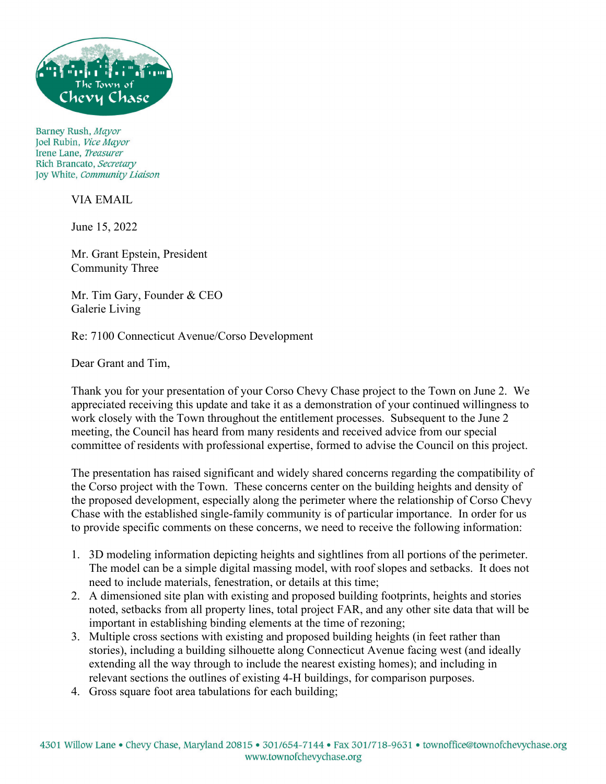

Barney Rush, Mayor Joel Rubin, Vice Mayor Irene Lane. Treasurer Rich Brancato, Secretary Joy White, Community Liaison

VIA EMAIL

June 15, 2022

Mr. Grant Epstein, President Community Three

Mr. Tim Gary, Founder & CEO Galerie Living

Re: 7100 Connecticut Avenue/Corso Development

Dear Grant and Tim,

Thank you for your presentation of your Corso Chevy Chase project to the Town on June 2. We appreciated receiving this update and take it as a demonstration of your continued willingness to work closely with the Town throughout the entitlement processes. Subsequent to the June 2 meeting, the Council has heard from many residents and received advice from our special committee of residents with professional expertise, formed to advise the Council on this project.

The presentation has raised significant and widely shared concerns regarding the compatibility of the Corso project with the Town. These concerns center on the building heights and density of the proposed development, especially along the perimeter where the relationship of Corso Chevy Chase with the established single-family community is of particular importance. In order for us to provide specific comments on these concerns, we need to receive the following information:

- 1. 3D modeling information depicting heights and sightlines from all portions of the perimeter. The model can be a simple digital massing model, with roof slopes and setbacks. It does not need to include materials, fenestration, or details at this time;
- 2. A dimensioned site plan with existing and proposed building footprints, heights and stories noted, setbacks from all property lines, total project FAR, and any other site data that will be important in establishing binding elements at the time of rezoning;
- 3. Multiple cross sections with existing and proposed building heights (in feet rather than stories), including a building silhouette along Connecticut Avenue facing west (and ideally extending all the way through to include the nearest existing homes); and including in relevant sections the outlines of existing 4-H buildings, for comparison purposes.
- 4. Gross square foot area tabulations for each building;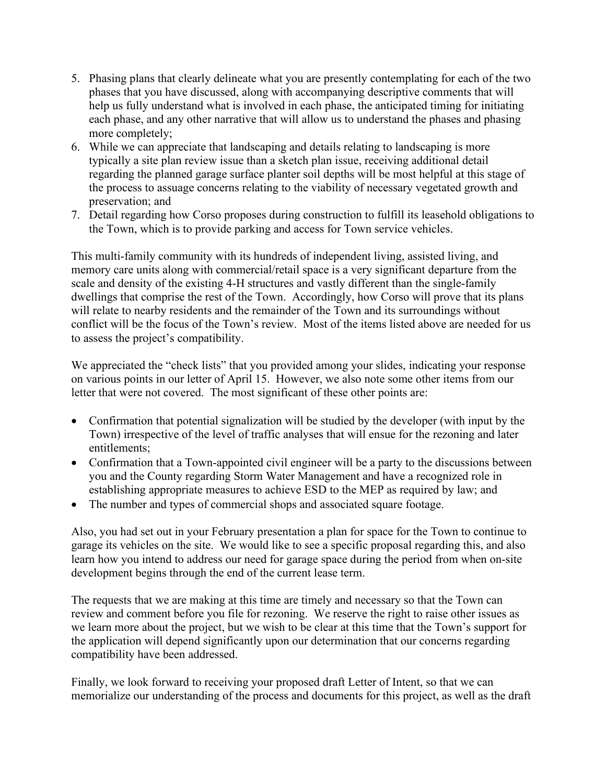- 5. Phasing plans that clearly delineate what you are presently contemplating for each of the two phases that you have discussed, along with accompanying descriptive comments that will help us fully understand what is involved in each phase, the anticipated timing for initiating each phase, and any other narrative that will allow us to understand the phases and phasing more completely;
- 6. While we can appreciate that landscaping and details relating to landscaping is more typically a site plan review issue than a sketch plan issue, receiving additional detail regarding the planned garage surface planter soil depths will be most helpful at this stage of the process to assuage concerns relating to the viability of necessary vegetated growth and preservation; and
- 7. Detail regarding how Corso proposes during construction to fulfill its leasehold obligations to the Town, which is to provide parking and access for Town service vehicles.

This multi-family community with its hundreds of independent living, assisted living, and memory care units along with commercial/retail space is a very significant departure from the scale and density of the existing 4-H structures and vastly different than the single-family dwellings that comprise the rest of the Town. Accordingly, how Corso will prove that its plans will relate to nearby residents and the remainder of the Town and its surroundings without conflict will be the focus of the Town's review. Most of the items listed above are needed for us to assess the project's compatibility.

We appreciated the "check lists" that you provided among your slides, indicating your response on various points in our letter of April 15. However, we also note some other items from our letter that were not covered. The most significant of these other points are:

- Confirmation that potential signalization will be studied by the developer (with input by the Town) irrespective of the level of traffic analyses that will ensue for the rezoning and later entitlements;
- Confirmation that a Town-appointed civil engineer will be a party to the discussions between you and the County regarding Storm Water Management and have a recognized role in establishing appropriate measures to achieve ESD to the MEP as required by law; and
- The number and types of commercial shops and associated square footage.

Also, you had set out in your February presentation a plan for space for the Town to continue to garage its vehicles on the site. We would like to see a specific proposal regarding this, and also learn how you intend to address our need for garage space during the period from when on-site development begins through the end of the current lease term.

The requests that we are making at this time are timely and necessary so that the Town can review and comment before you file for rezoning. We reserve the right to raise other issues as we learn more about the project, but we wish to be clear at this time that the Town's support for the application will depend significantly upon our determination that our concerns regarding compatibility have been addressed.

Finally, we look forward to receiving your proposed draft Letter of Intent, so that we can memorialize our understanding of the process and documents for this project, as well as the draft